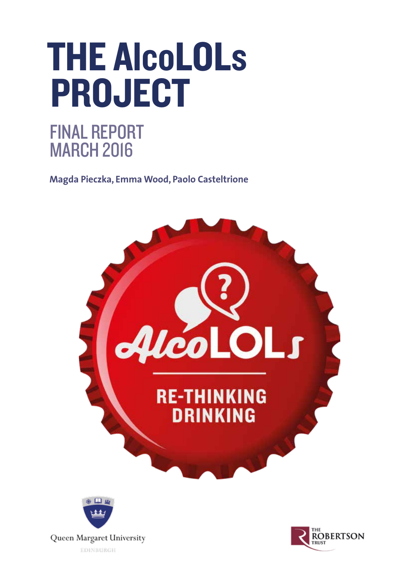# THE AlcoLOLs PROJECT

### FINAL REPORT MARCH 2016

**Magda Pieczka, Emma Wood, Paolo Casteltrione**





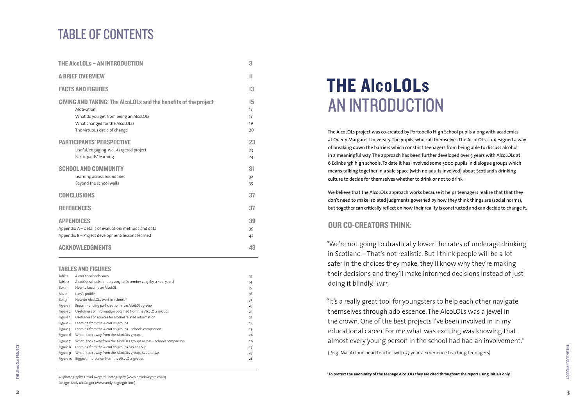THE AlcoLOLs AN INTRODUCTION

The AlcoLOLs project was co-created by Portobello High School pupils along with academics at Queen Margaret University. The pupils, who call themselves The AlcoLOLs, co-designed a way of breaking down the barriers which constrict teenagers from being able to discuss alcohol in a meaningful way. The approach has been further developed over 3 years with AlcoLOLs at 6 Edinburgh high schools. To date it has involved some 3000 pupils in dialogue groups which means talking together in a safe space (with no adults involved) about Scotland's drinking culture to decide for themselves whether to drink or not to drink.

We believe that the AlcoLOLs approach works because it helps teenagers realise that that they don't need to make isolated judgments governed by how they think things are (social norms), but together can critically reflect on how their reality is constructed and can decide to change it.

#### OUR CO-CREATORS THINK:

"We're not going to drastically lower the rates of underage drinking in Scotland – That's not realistic. But I think people will be a lot safer in the choices they make, they'll know why they're making their decisions and they'll make informed decisions instead of just doing it blindly." (MP **\*** )

"It's a really great tool for youngsters to help each other navigate themselves through adolescence. The AlcoLOLs was a jewel in the crown. One of the best projects I've been involved in in my educational career. For me what was exciting was knowing that almost every young person in the school had had an involvement." (Peigi MacArthur, head teacher with 37 years' experience teaching teenagers)

### TABLE OF CONTENTS

| <b>THE AlcoLOLS - AN INTRODUCTION</b>                                                                                                                                                             | 3                          |
|---------------------------------------------------------------------------------------------------------------------------------------------------------------------------------------------------|----------------------------|
| <b>A BRIEF OVERVIEW</b>                                                                                                                                                                           | П                          |
| <b>FACTS AND FIGURES</b>                                                                                                                                                                          | 13                         |
| <b>GIVING AND TAKING: The AlcoLOLs and the benefits of the project</b><br>Motivation<br>What do you get from being an AlcoLOL?<br>What changed for the AlcoLOLs?<br>The virtuous circle of change | 15<br>17<br>17<br>19<br>20 |
| <b>PARTICIPANTS' PERSPECTIVE</b><br>Useful, engaging, well-targeted project<br>Participants' learning                                                                                             | 23<br>23<br>24             |
| <b>SCHOOL AND COMMUNITY</b><br>Learning across boundaries<br>Beyond the school walls                                                                                                              | 31<br>32<br>35             |
| <b>CONCLUSIONS</b>                                                                                                                                                                                | 37                         |
| <b>REFERENCES</b>                                                                                                                                                                                 | 37                         |
| <b>APPENDICES</b><br>Appendix A - Details of evaluation: methods and data<br>Appendix B - Project development: lessons learned                                                                    | 39<br>39<br>42             |
| <b>ACKNOWLEDGMENTS</b>                                                                                                                                                                            | 43                         |

#### TABLES AND FIGURES

| Table 1   | AlcoLOLs schools sizes                                                | 13 |
|-----------|-----------------------------------------------------------------------|----|
| Table 2   | AlcoLOLs schools January 2013 to December 2015 (by school years)      | 14 |
| Box 1     | How to become an AlcoLOL                                              | 15 |
| Box 2     | Lucy's profile                                                        | 16 |
| Box 3     | How do AlcoLOLs work in schools?                                      | 31 |
| Figure 1  | Recommending participation in an AlcoLOLs group                       | 23 |
| Figure 2  | Usefulness of information obtained from the AlcoLOLs groups           | 23 |
| Figure 3  | Usefulness of sources for alcohol related information                 | 23 |
| Figure 4  | Learning from the AlcoLOLs groups                                     | 24 |
| Figure 5  | Learning from the AlcoLOLs groups - schools comparison                | 25 |
| Figure 6  | What I took away from the AlcoLOLs groups                             | 26 |
| Figure 7  | What I took away from the AlcoLOLs groups across – schools comparison | 26 |
| Figure 8  | Learning from the AlcoLOLs groups S2s and S4s                         | 27 |
| Figure 9  | What I took away from the AlcoLOLs groups S2s and S4s                 | 27 |
| Figure 10 | Biggest impression from the AlcoLOLs groups                           | 28 |
|           |                                                                       |    |

All photography: David Aveyard Photography (www.davidaveyard.co.uk) Design: Andy McGregor (www.andymcgregor.com)

**THE AlcoLOLS PROJECT** 

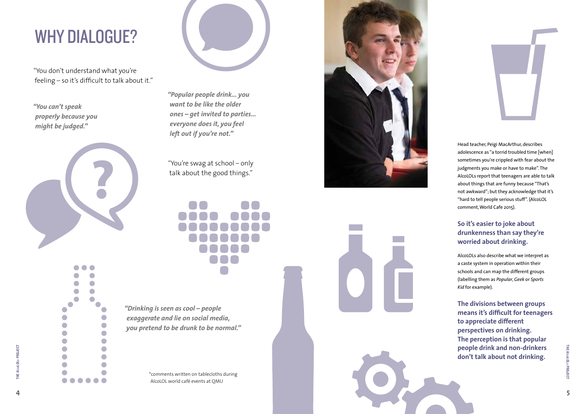Head teacher, Peigi MacArthur, describes adolescence as "a torrid troubled time [when] sometimes you're crippled with fear about the judgments you make or have to make". The AlcoLOLs report that teenagers are able to talk about things that are funny because "That's not awkward"; but they acknowledge that it's "hard to tell people serious stuff". (AlcoLOL comment, World Cafe 2015).

#### **So it's easier to joke about drunkenness than say they're worried about drinking.**

AlcoLOLs also describe what we interpret as a caste system in operation within their schools and can map the different groups (labelling them as *Popular*, *Geek* or *Sports Kid* for example).

**The divisions between groups means it's difficult for teenagers to appreciate different perspectives on drinking. The perception is that popular people drink and non-drinkers don't talk about not drinking.** 

"You don't understand what you're feeling – so it's difficult to talk about it."

> "You're swag at school – only talk about the good things."



## WHY DIALOGUE?

*"You can't speak properly because you might be judged."* 



 $\sqrt{2}$  $\bullet$  $\bullet$  $\bullet$ 

 $\bullet$ 

 $\blacksquare$ 

 $\overline{\phantom{a}}$ 

 $\Box$ 

 $\blacksquare$ 

 $\sqrt{2}$ 

 $\blacksquare$ 

 $\Box$ 

 $\bullet$  $\blacksquare$ 

 $\bullet$ 

 $\bullet$ 

 $\blacksquare$ 

 $\sqrt{2}$  $\blacksquare$ 

 $\blacksquare$  $\sqrt{2}$ 



*"Drinking is seen as cool – people exaggerate and lie on social media, you pretend to be drunk to be normal."* 

*"Popular people drink… you want to be like the older ones – get invited to parties… everyone does it, you feel left out if you're not."* 

\*comments written on tablecloths during AlcoLOL world café events at QMU



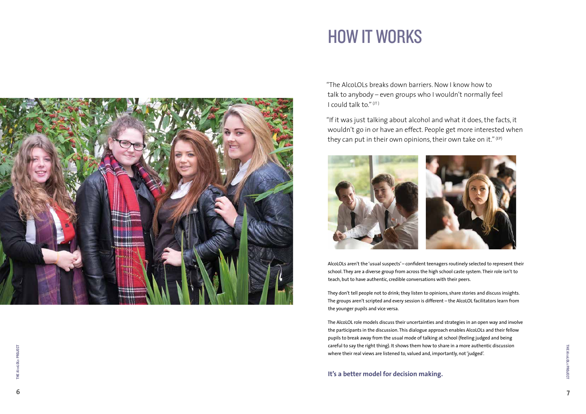"The AlcoLOLs breaks down barriers. Now I know how to talk to anybody – even groups who I wouldn't normally feel I could talk to." $(UT)$ 

"If it was just talking about alcohol and what it does, the facts, it wouldn't go in or have an effect. People get more interested when they can put in their own opinions, their own take on it."  $(EP)$ 



AlcoLOLs aren't the 'usual suspects' – confident teenagers routinely selected to represent their school. They are a diverse group from across the high school caste system. Their role isn't to teach, but to have authentic, credible conversations with their peers.

They don't tell people not to drink; they listen to opinions, share stories and discuss insights. The groups aren't scripted and every session is different – the AlcoLOL facilitators learn from the younger pupils and vice versa.

The AlcoLOL role models discuss their uncertainties and strategies in an open way and involve the participants in the discussion. This dialogue approach enables AlcoLOLs and their fellow pupils to break away from the usual mode of talking at school (feeling judged and being careful to say the right thing). It shows them how to share in a more authentic discussion where their real views are listened to, valued and, importantly, not 'judged'.

**It's a better model for decision making.**





## HOW IT WORKS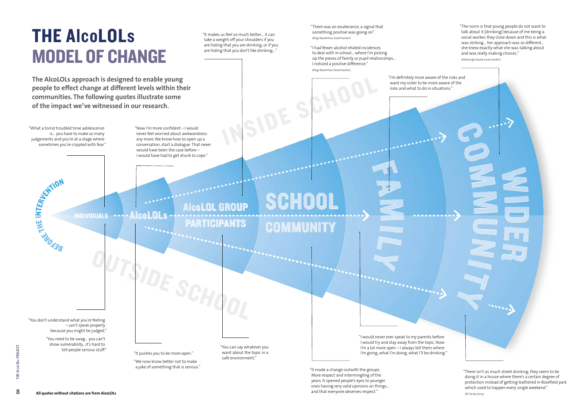## THE AlcoLOLs MODEL OF CHANGE

"What a torrid troubled time adolescence

is… you have to make so many

judgements and you're at a stage where sometimes you're crippled with fear."

**WATERIALS STATION** 

"It makes us feel so much better… it can take a weight off your shoulders if you are hiding that you are drinking, or if you are hiding that you don't like drinking…"

"There was an exuberance, a signal that something positive was going on". (Peigi MacArthur, head teacher)

"I had fewer alcohol related incidences to deal with in school… where I'm picking up the pieces of family or pupil relationships… I noticed a positive difference." (Peigi MacArthur, head teacher)

"The norm is that young people do not want to talk about it [drinking] because of me being a social worker, they close down and this is what was striking… her approach was so different… she knew exactly what she was talking about and was really making choices." (Edinburgh-based social worker)

 $\rightarrow$ 

"I'm definitely more aware of the risks and want my sister to be more aware of the risks and what to do in situations."

SCHOOL **AlcoLOL GROUP PARTICIPANTS COMMUNITY** 

ISIDE SCHO

tell people serious stuff."<br>"It pushes you to be more open."

"I would never ever speak to my parents before. I would try and stay away from the topic. Now I'm a lot more open – I always tell them where I'm going, what I'm doing, what I'll be drinking."

"It made a change outwith the groups. More respect and intermingling of the years. It opened people's eyes to younger ones having very valid opinions on things… and that everyone deserves respect."

"You can say whatever you want about the topic in a safe environment."

"You don't understand what you're feeling – can't speak properly because you might be judged."

"You need to be swag… you can't show vulnerability…it's hard to

"We now know better not to make a joke of something that is serious."

**The AlcoLOLs approach is designed to enable young people to effect change at different levels within their communities. The following quotes illustrate some of the impact we've witnessed in our research.**

> "Now I'm more confident – I would never feel worried about awkwardness any more. We know how to open up a conversation, start a dialogue. That never would have been the case before – I would have had to get drunk to cope."

INDIVIDUALS ---- AICOLOLS

"There isn't as much street drinking, they seem to be doing it in a house where there's a certain degree of protection instead of getting leathered in Rosefield park which used to happen every single weekend."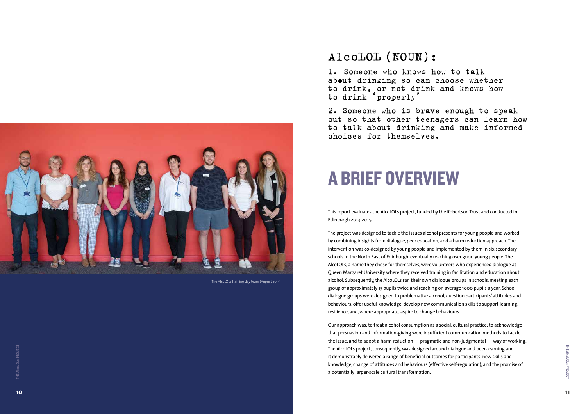### A BRIEF OVERVIEW

This report evaluates the AlcoLOLs project, funded by the Robertson Trust and conducted in Edinburgh 2013-2015.

The project was designed to tackle the issues alcohol presents for young people and worked by combining insights from dialogue, peer education, and a harm reduction approach. The intervention was co-designed by young people and implemented by them in six secondary schools in the North East of Edinburgh, eventually reaching over 3000 young people. The AlcoLOLs, a name they chose for themselves, were volunteers who experienced dialogue at Queen Margaret University where they received training in facilitation and education about alcohol. Subsequently, the AlcoLOLs ran their own dialogue groups in schools, meeting each group of approximately 15 pupils twice and reaching on average 1000 pupils a year. School dialogue groups were designed to problematize alcohol, question participants' attitudes and behaviours, offer useful knowledge, develop new communication skills to support learning, resilience, and, where appropriate, aspire to change behaviours.

Our approach was: to treat alcohol consumption as a social, cultural practice; to acknowledge that persuasion and information-giving were insufficient communication methods to tackle the issue: and to adopt a harm reduction — pragmatic and non-judgmental — way of working. The AlcoLOLs project, consequently, was designed around dialogue and peer-learning and it demonstrably delivered a range of beneficial outcomes for participants: new skills and knowledge, change of attitudes and behaviours (effective self-regulation), and the promise of a potentially larger-scale cultural transformation.



### AlcoLOL (NOUN):

1. Someone who knows how to talk ab out drinking so can choose whether to drink, or not drink and knows how to drink 'properly'

2. Someone who is brave enough to speak out so that other teenagers can learn how to talk about drinking and make informed choices for themselves.



The AlcoLOLs training day team (August 2015)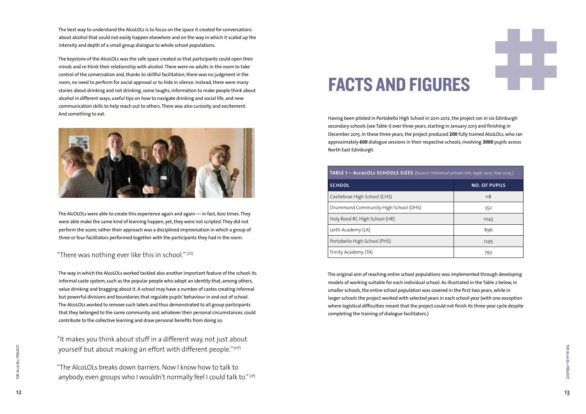## FACTS AND FIGURES

Having been piloted in Portobello High School in 2011-2012, the project ran in six Edinburgh secondary schools (see Table 1) over three years, starting in January 2013 and finishing in December 2015. In these three years, the project produced **200** fully trained AlcoLOLs, who ran approximately **600** dialogue sessions in their respective schools, involving **3000** pupils across North East Edinburgh.

| TABLE 1 - ALCOLOLS SCHOOLS SIZES (Source: Historical school rolls, 1996-2015. Year 2015.) |                      |  |
|-------------------------------------------------------------------------------------------|----------------------|--|
| <b>SCHOOL</b>                                                                             | <b>NO. OF PUPILS</b> |  |
| Castlebrae High School (CHS)                                                              | 118                  |  |
| Drummond Community High School (DHS)                                                      | 352                  |  |
| Holy Rood RC High School (HR)                                                             | 1043                 |  |
| Leith Academy (LA)                                                                        | 896                  |  |
| Portobello High School (PHS)                                                              | 1295                 |  |
| Trinity Academy (TA)                                                                      | 793                  |  |

The original aim of reaching entire school populations was implemented through developing models of working suitable for each individual school. As illustrated in the Table 2 below, in smaller schools, the entire school population was covered in the first two years, while in larger schools the project worked with selected years in each school year (with one exception where logistical difficulties meant that the project could not finish its three-year cycle despite completing the training of dialogue facilitators.)

 $12$ 





| cal school rolls, 1996-2015. Year 2015.) |                      |  |
|------------------------------------------|----------------------|--|
|                                          | <b>NO. OF PUPILS</b> |  |
|                                          | 118                  |  |
|                                          | 352                  |  |
|                                          | 1043                 |  |
|                                          | 896                  |  |
|                                          | 1295                 |  |
|                                          | 793                  |  |

The AlcOLOLs were able to create this experience again and again — in fact, 600 times. They were able make the same kind of learning happen, yet, they were not scripted. They did not perform the score; rather their approach was a disciplined improvisation in which a group of three or four facilitators performed together with the participants they had in the room.

#### "There was nothing ever like this in school."  $(1D)$

The best way to understand the AlcoLOLs is to focus on the space it created for conversations about alcohol that could not easily happen elsewhere and on the way in which it scaled up the intensity and depth of a small group dialogue to whole school populations.

"The AlcoLOLs breaks down barriers. Now I know how to talk to anybody, even groups who I wouldn't normally feel I could talk to." (JP)

The keystone of the AlcoLOLs was the safe space created so that participants could open their minds and re-think their relationship with alcohol. There were no adults in the room to take control of the conversation and, thanks to skillful facilitation, there was no judgment in the room, no need to perform for social approval or to hide in silence. Instead, there were many stories about drinking and not drinking, some laughs, information to make people think about alcohol in different ways, useful tips on how to navigate drinking and social life, and new communication skills to help reach out to others. There was also curiosity and excitement. And something to eat.



The way in which the AlcoLOLs worked tackled also another important feature of the school: its informal caste system, such as the popular people who adopt an identity that, among others, value drinking and bragging about it. A school may have a number of castes creating informal but powerful divisions and boundaries that regulate pupils' behaviour in and out of school. The AlcoLOLs worked to remove such labels and thus demonstrated to all group participants that they belonged to the same community and, whatever their personal circumstances, could contribute to the collective learning and draw personal benefits from doing so.

"It makes you think about stuff in a different way, not just about yourself but about making an effort with different people."(HP)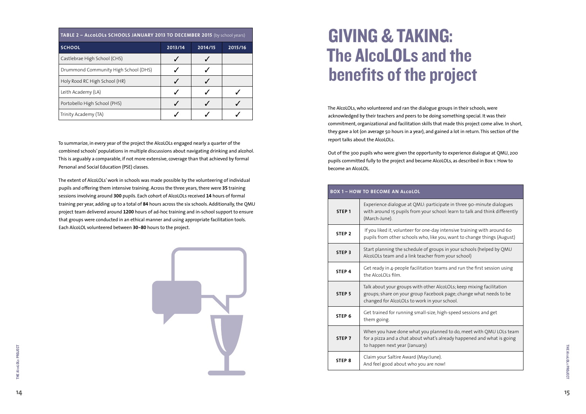## GIVING & TAKING: The AlcoLOLs and the benefits of the project

The AlcoLOLs, who volunteered and ran the dialogue groups in their schools, were acknowledged by their teachers and peers to be doing something special. It was their commitment, organizational and facilitation skills that made this project come alive. In short, they gave a lot (on average 50 hours in a year), and gained a lot in return. This section of the report talks about the AlcoLOLs.

Out of the 300 pupils who were given the opportunity to experience dialogue at QMU, 200 pupils committed fully to the project and became AlcoLOLs, as described in Box 1: How to become an AlcoLOL.

| <b>BOX 1 - HOW TO BECOME AN ALCOLOL</b> |                                                                                                                          |  |
|-----------------------------------------|--------------------------------------------------------------------------------------------------------------------------|--|
| STEP <sub>1</sub>                       | Experience dialogue at QMU: participa<br>with around 15 pupils from your school<br>(March-June).                         |  |
| STEP <sub>2</sub>                       | If you liked it, volunteer for one-day int<br>pupils from other schools who, like you                                    |  |
| STEP <sub>3</sub>                       | Start planning the schedule of groups<br>AlcoLOLs team and a link teacher from                                           |  |
| STEP <sub>4</sub>                       | Get ready in 4-people facilitation team<br>the AlcoLOLs film.                                                            |  |
| STEP <sub>5</sub>                       | Talk about your groups with other Alco<br>groups; share on your group Facebook<br>changed for AlcoLOLs to work in your s |  |
| STEP <sub>6</sub>                       | Get trained for running small-size, high<br>them going.                                                                  |  |
| STEP <sub>7</sub>                       | When you have done what you planne<br>for a pizza and a chat about what's alre<br>to happen next year (January)          |  |
| STEP <sub>8</sub>                       | Claim your Saltire Award (May/June).<br>And feel good about who you are now!                                             |  |

ate in three 90-minute dialogues ol: learn to talk and think differently

ntensive training with around 60 pu, want to change things (August)

s in your schools (helped by QMU h your school)

ms and run the first session using

oLOLs; keep mixing facilitation (page; change what needs to be school.

gh-speed sessions and get

ed to do, meet with QMU LOLs team ready happened and what is going

| TABLE 2 - ALCOLOLS SCHOOLS JANUARY 2013 TO DECEMBER 2015 (by school years) |         |         |         |
|----------------------------------------------------------------------------|---------|---------|---------|
| <b>SCHOOL</b>                                                              | 2013/14 | 2014/15 | 2015/16 |
| Castlebrae High School (CHS)                                               |         |         |         |
| Drummond Community High School (DHS)                                       |         |         |         |
| Holy Rood RC High School (HR)                                              |         |         |         |
| Leith Academy (LA)                                                         |         |         |         |
| Portobello High School (PHS)                                               |         |         |         |
| Trinity Academy (TA)                                                       |         |         |         |

To summarize, in every year of the project the AlcoLOLs engaged nearly a quarter of the combined schools' populations in multiple discussions about navigating drinking and alcohol. This is arguably a comparable, if not more extensive, coverage than that achieved by formal Personal and Social Education (PSE) classes.

The extent of AlcoLOLs' work in schools was made possible by the volunteering of individual pupils and offering them intensive training. Across the three years, there were **35** training sessions involving around **300** pupils. Each cohort of AlcoLOLs received **14** hours of formal training per year, adding up to a total of **84** hours across the six schools. Additionally, the QMU project team delivered around **1200** hours of ad-hoc training and in-school support to ensure that groups were conducted in an ethical manner and using appropriate facilitation tools. Each AlcoLOL volunteered between **30-80** hours to the project.

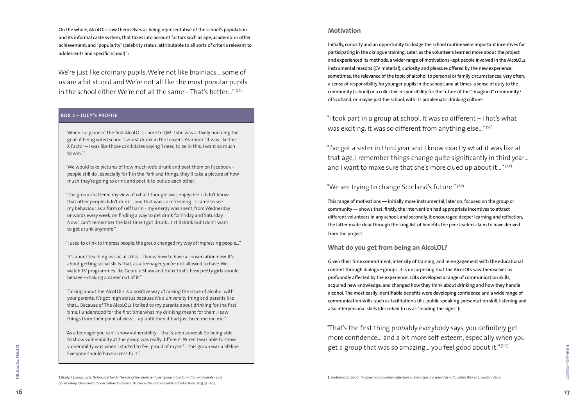#### **Motivation**

"I took part in a group at school. It was so different – That's what was exciting. It was so different from anything else..."<sup>(SP)</sup>

Initially, curiosity and an opportunity to dodge the school routine were important incentives for participating in the dialogue training. Later, as the volunteers learned more about the project and experienced its methods, a wider range of motivations kept people involved in the AlcoLOLs: instrumental reasons (CV material); curiosity and pleasure offered by the new experience; sometimes, the relevance of the topic of alcohol to personal or family circumstances; very often, a sense of responsibility for younger pupils in the school; and at times, a sense of duty to the community (school) or a collective responsibility for the future of the "imagined" community  $^{\rm a}$ of Scotland, or maybe just the school, with its problematic drinking culture:

"I've got a sister in third year and I know exactly what it was like at that age, I remember things change quite significantly in third year… and I want to make sure that she's more clued up about it…" (AP)

"That's the first thing probably everybody says, you definitely get more confidence… and a bit more self-esteem, especially when you get a group that was so amazing... you feel good about it."<sup>(DD)</sup>

**THE AlcoLOLS PROJECT** 

#### "We are trying to change Scotland's future." (AP)

On the whole, AlcoLOLs saw themselves as being representative of the school's population and its informal caste system, that takes into account factors such as age, academic or other achievement, and "popularity" (celebrity status, attributable to all sorts of criteria relevant to adolescents and specific school) <sup>1</sup>:

We're just like ordinary pupils, We're not like brainiacs… some of us are a bit stupid and We're not all like the most popular pupils in the school either. We're not all the same  $-$  That's better..."  $(1)$ T)

> This range of motivations — initially more instrumental, later on, focused on the group or community — shows that: firstly, the intervention had appropriate incentives to attract different volunteers in any school; and secondly, it encouraged deeper learning and reflection, the latter made clear through the long list of benefits the peer leaders claim to have derived from the project.

#### **What do you get from being an AlcoLOL?**

Given their time commitment, intensity of training, and re-engagement with the educational content through dialogue groups, it is unsurprising that the AlcoLOLs saw themselves as profoundly affected by the experience. LOLs developed a range of communication skills, acquired new knowledge, and changed how they think about drinking and how they handle alcohol. The most easily identifiable benefits were developing confidence and a wide range of communication skills, such as facilitation skills, public speaking, presentation skill, listening and also interpersonal skills (described to us as "reading the signs"):

#### **BOX 2 – LUCY'S PROFILE**

"When Lucy, one of the first AlcoLOLs, came to QMU she was actively pursuing the goal of being voted school's worst drunk in the Leaver's Yearbook "it was like the X Factor – I was like those candidates saying 'I need to be in this, I want so much to win.' "

"We would take pictures of how much we'd drunk and post them on Facebook – people still do , especially for T in the Park and things, they'll take a picture of how much they're going to drink and post it to out do each other."

"The group shattered my view of what I thought was enjoyable. I didn't know that other people didn't drink – and that was so refreshing… I came to see my behaviour as a form of self harm - my energy was spent, from Wednesday onwards every week, on finding a way to get drink for Friday and Saturday. Now I can't remember the last time I got drunk… I still drink but I don't want to get drunk anymore."

"I used to drink to impress people, the group changed my way of impressing people…"

"It's about teaching us social skills – I know how to have a conversation now. It's about getting social skills that, as a teenager, you're not allowed to have. We watch TV programmes like Geordie Shaw and think that's how pretty girls should behave – making a career out of it."

"Talking about the AlcoLOLs is a positive way of raising the issue of alcohol with your parents. It's got high status because it's a university thing and parents like that… Because of The AlcoLOLs I talked to my parents about drinking for the first time. I understood for the first time what my drinking meant for them. I saw things from their point of view … up until then it had just been me me me."

"As a teenager you can't show vulnerability – that's seen as weak. So being able to show vulnerability at the group was really different. When I was able to show vulnerability was when I started to feel proud of myself… this group was a lifeline. Everyone should have access to it."

### *of secondary school institutional culture*. Discourse: studies in the cultural politics of education, 25(3), 351-364.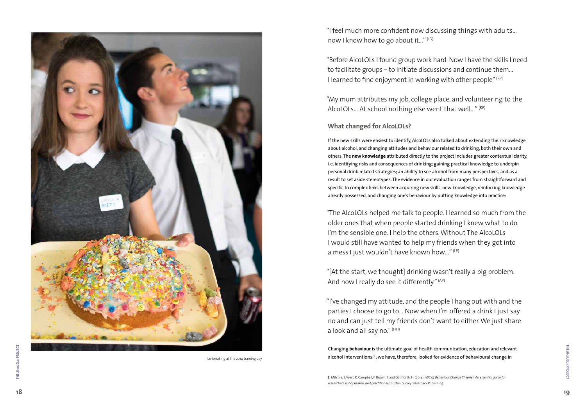"I feel much more confident now discussing things with adults… now I know how to go about it..."  $(1D)$ 

"Before AlcoLOLs I found group work hard. Now I have the skills I need to facilitate groups – to initiate discussions and continue them… I learned to find enjoyment in working with other people" (RP)

"My mum attributes my job, college place, and volunteering to the AlcoLOLs... At school nothing else went that well..." (RP)

#### **What changed for AlcoLOLs?**

"The AlcoLOLs helped me talk to people. I learned so much from the older ones that when people started drinking I knew what to do. I'm the sensible one. I help the others. Without The AlcoLOLs I would still have wanted to help my friends when they got into a mess I just wouldn't have known how..." (LP)

"[At the start, we thought] drinking wasn't really a big problem. And now I really do see it differently." (AP)

"I've changed my attitude, and the people I hang out with and the parties I choose to go to… Now when I'm offered a drink I just say no and can just tell my friends don't want to either. We just share a look and all say no."  $(HH)$ 

If the new skills were easiest to identify, AlcoLOLs also talked about extending their knowledge about alcohol, and changing attitudes and behaviour related to drinking, both their own and others. The **new knowledge** attributed directly to the project includes greater contextual clarity, i.e. identifying risks and consequences of drinking; gaining practical knowledge to underpin personal drink-related strategies; an ability to see alcohol from many perspectives, and as a result to set aside stereotypes. The evidence in our evaluation ranges from straightforward and specific to complex links between acquiring new skills, new knowledge, reinforcing knowledge already possessed, and changing one's behaviour by putting knowledge into practice:

Changing **behaviour** is the ultimate goal of health communication, education and relevant alcohol interventions<sup>3</sup>; we have, therefore, looked for evidence of behavioural change in

**3.** Mitchie, S. West, R. Campbell, F. Brown, J. and Gainforth, H. (2014). *ABC of Behaviour Change Theories: An essential guide for researchers, policy makers and practitioners*. Sutton, Surrey: Silverback Publishing.



Ice-breaking at the 2014 training day.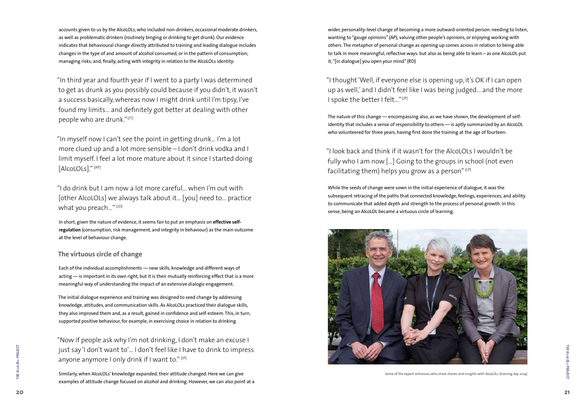"I thought 'Well, if everyone else is opening up, it's OK if I can open up as well,' and I didn't feel like I was being judged… and the more I spoke the better I felt..."<sup>(JP)</sup>

wider, personality-level change of becoming a more outward-oriented person: needing to listen, wanting to "gauge opinions" (AP), valuing other people's opinions, or enjoying working with others. The metaphor of personal change as opening up comes across in relation to being able to talk in more meaningful, reflective ways: but also as being able to learn – as one AlcoLOL put it, "[in dialogue] you open your mind" (RD)

#### "I look back and think if it wasn't for the AlcoLOLs I wouldn't be fully who I am now […] Going to the groups in school (not even facilitating them) helps you grow as a person"  $(LP)$

The nature of this change — encompassing also, as we have shown, the development of selfidentity that includes a sense of responsibility to others — is aptly summarized by an AlcoLOL who volunteered for three years, having first done the training at the age of fourteen:

"In third year and fourth year if I went to a party I was determined to get as drunk as you possibly could because if you didn't, it wasn't a success basically, whereas now I might drink until I'm tipsy, I've found my limits… and definitely got better at dealing with other people who are drunk." $(T)$ 

"I do drink but I am now a lot more careful… when I'm out with [other AlcoLOLs] we always talk about it… [you] need to… practice what you preach..." $(1D)$ 

While the seeds of change were sown in the initial experience of dialogue, it was the subsequent retracing of the paths that connected knowledge, feelings, experiences, and ability to communicate that added depth and strength to the process of personal growth. In this sense, being an AlcoLOL became a virtuous circle of learning.



**THE AlcoLOLS PROJECT** 

accounts given to us by the AlcoLOLs, who included non-drinkers, occasional moderate drinkers, as well as problematic drinkers (routinely binging or drinking to get drunk). Our evidence indicates that behavioural change directly attributed to training and leading dialogue includes changes in the type of and amount of alcohol consumed, or in the pattern of consumption; managing risks; and, finally, acting with integrity in relation to the AlcoLOLs identity:

"Now if people ask why I'm not drinking, I don't make an excuse I just say 'I don't want to'… I don't feel like I have to drink to impress anyone anymore I only drink if I want to."  $(P)$ 

"In myself now I can't see the point in getting drunk… I'm a lot more clued up and a lot more sensible – I don't drink vodka and I limit myself. I feel a lot more mature about it since I started doing [AlcoLOLs]." (AP)

In short, given the nature of evidence, it seems fair to put an emphasis on **effective selfregulation** (consumption, risk management, and integrity in behaviour) as the main outcome at the level of behaviour change.

#### **The virtuous circle of change**

Each of the individual accomplishments — new skills, knowledge and different ways of acting — is important in its own right, but it is their mutually reinforcing effect that is a more meaningful way of understanding the impact of an extensive dialogic engagement.

The initial dialogue experience and training was designed to seed change by addressing knowledge, attitudes, and communication skills. As AlcoLOLs practiced their dialogue skills, they also improved them and, as a result, gained in confidence and self-esteem. This, in turn, supported positive behaviour, for example, in exercising choice in relation to drinking.

Similarly, when AlcoLOLs' knowledge expanded, their attitude changed. Here we can give examples of attitude change focused on alcohol and drinking. However, we can also point at a

Some of the expert witnesses who share stories and insights with AlcoLOLs (training day 2014)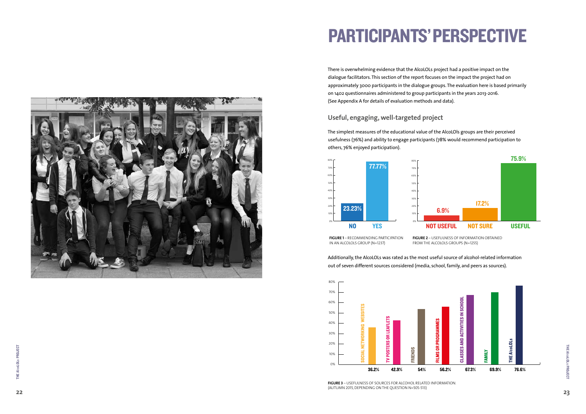THE AlcoLOLs PROJECT

THE AlcoLOLs PROJECT

## PARTICIPANTS' PERSPECTIVE

There is overwhelming evidence that the AlcoLOLs project had a positive impact on the dialogue facilitators. This section of the report focuses on the impact the project had on approximately 3000 participants in the dialogue groups. The evaluation here is based primarily on 1402 questionnaires administered to group participants in the years 2013-2016. (See Appendix A for details of evaluation methods and data).

#### **Useful, engaging, well-targeted project**

**FIGURE 1** – RECOMMENDING PARTICIPATION IN AN ALCOLOLS GROUP (N=1237)

The simplest measures of the educational value of the AlcoLOls groups are their perceived usefulness (76%) and ability to engage participants (78% would recommend participation to others, 76% enjoyed participation).

Additionally, the AlcoLOLs was rated as the most useful source of alcohol-related information out of seven different sources considered (media, school, family, and peers as sources).



**FIGURE 2** – USEFULNESS OF INFORMATION OBTAINED FROM THE ALCOLOLS GROUPS (N=1255)



**FIGURE 3** – USEFULNESS OF SOURCES FOR ALCOHOL RELATED INFORMATION. (AUTUMN 2015, DEPENDING ON THE QUESTION N=505-513)



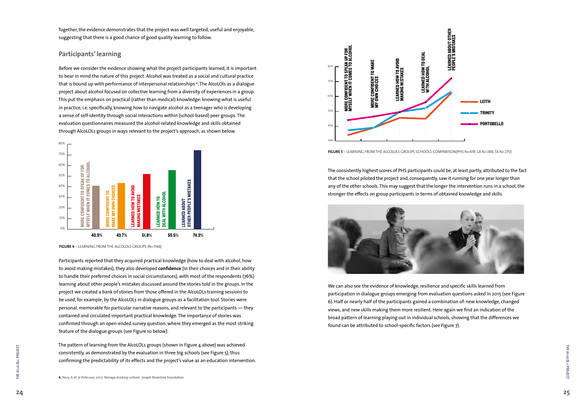The consistently highest scores of PHS participants could be, at least partly, attributed to the fact that the school piloted the project and, consequently, saw it running for one year longer than any of the other schools. This may suggest that the longer the intervention runs in a school, the stronger the effects on group participants in terms of obtained knowledge and skills.



We can also see the evidence of knowledge, resilience and specific skills learned from participation in dialogue groups emerging from evaluation questions asked in 2015 (see Figure 6). Half or nearly half of the participants gained a combination of: new knowledge, changed views, and new skills making them more resilient. Here again we find an indication of the broad pattern of learning playing out in individual schools, showing that the differences we found can be attributed to school-specific factors (see Figure 7).

Together, the evidence demonstrates that the project was well targeted, useful and enjoyable, suggesting that there is a good chance of good quality learning to follow.

#### **Participants' learning**

Before we consider the evidence showing what the project participants learned, it is important to bear in mind the nature of this project. Alcohol was treated as a social and cultural practice that is bound up with performance of interpersonal relationships 4 . The AlcoLOls as a dialogue project about alcohol focused on collective learning from a diversity of experiences in a group. This put the emphasis on practical (rather than medical) knowledge: knowing what is useful in practice, i.e. specifically, knowing how to navigate alcohol as a teenager who is developing a sense of self-identity through social interactions within (school-based) peer groups. The evaluation questionnaires measured the alcohol-related knowledge and skills obtained through AlcoLOLs groups in ways relevant to the project's approach, as shown below.

Participants reported that they acquired practical knowledge (how to deal with alcohol, how to avoid making mistakes), they also developed **confidence** (in their choices and in their ability to handle their preferred choices in social circumstances), with most of the respondents (76%) learning about other people's mistakes discussed around the stories told in the groups. In the project we created a bank of stories from those offered in the AlcoLOLs training sessions to be used, for example, by the AlcoLOLs in dialogue groups as a facilitation tool. Stories were personal, memorable for particular narrative reasons, and relevant to the participants — they contained and circulated important practical knowledge. The importance of stories was confirmed through an open-ended survey question, where they emerged as the most striking feature of the dialogue groups (see Figure 10 below).

The pattern of learning from the AlcoLOLs groups (shown in Figure 4 above) was achieved consistently, as demonstrated by the evaluation in three big schools (see Figure 5), thus confirming the predictability of its effects and the project's value as an education intervention.











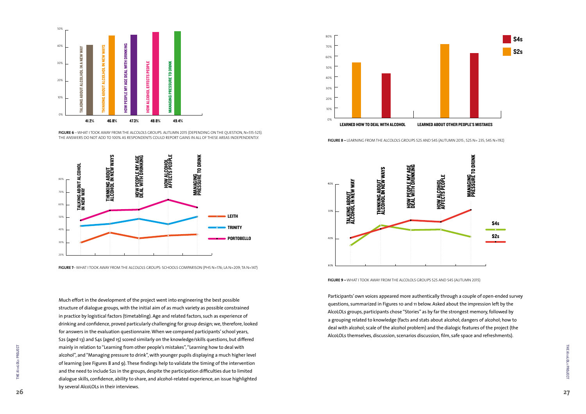Participants' own voices appeared more authentically through a couple of open-ended survey questions, summarized in Figures 10 and 11 below. Asked about the impression left by the AlcoLOLs groups, participants chose "Stories" as by far the strongest memory, followed by a grouping related to knowledge (facts and stats about alcohol; dangers of alcohol; how to deal with alcohol; scale of the alcohol problem) and the dialogic features of the project (the AlcoLOLs themselves, discussion, scenarios discussion, film, safe space and refreshments).



Much effort in the development of the project went into engineering the best possible structure of dialogue groups, with the initial aim of as much variety as possible constrained in practice by logistical factors (timetabling). Age and related factors, such as experience of drinking and confidence, proved particularly challenging for group design; we, therefore, looked for answers in the evaluation questionnaire. When we compared participants' school years, S2s (aged 13) and S4s (aged 15) scored similarly on the knowledge/skills questions, but differed mainly in relation to "Learning from other people's mistakes", "Learning how to deal with alcohol", and "Managing pressure to drink", with younger pupils displaying a much higher level of learning (see Figures 8 and 9). These findings help to validate the timing of the intervention and the need to include S2s in the groups, despite the participation difficulties due to limited dialogue skills, confidence, ability to share, and alcohol-related experience, an issue highlighted by several AlcoLOLs in their interviews.



**FIGURE 6** – WHAT I TOOK AWAY FROM THE ALCOLOLS GROUPS. AUTUMN 2015 (DEPENDING ON THE QUESTION, N=515-525).





FIGURE 8 - LEARNING FROM THE ALCOLOLS GROUPS S2S AND S4S (AUTUMN 2015.; S2S N= 235; S4S N=192)



**FIGURE 7**– WHAT I TOOK AWAY FROM THE ALCOLOLS GROUPS: SCHOOLS COMPARISON (PHS N=176; LA N=209; TA N=147)



**FIGURE 9 –** WHAT I TOOK AWAY FROM THE ALCOLOLS GROUPS S2S AND S4S (AUTUMN 2015)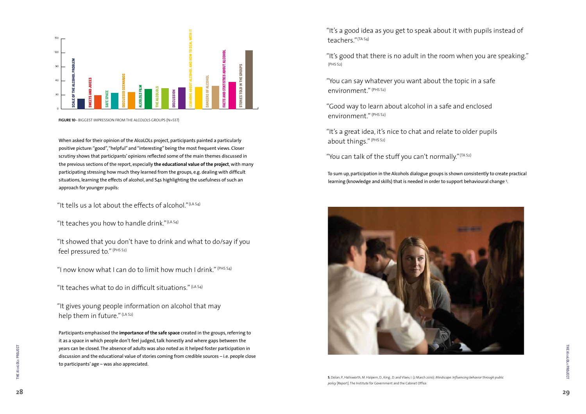"It's a good idea as you get to speak about it with pupils instead of teachers." (TA S4)

"It's good that there is no adult in the room when you are speaking." (PHS S2)

"It's a great idea, it's nice to chat and relate to older pupils about things." (PHS S2)

"You can talk of the stuff you can't normally." (TA 52)

"You can say whatever you want about the topic in a safe environment." (PHS S2)

"Good way to learn about alcohol in a safe and enclosed environment." (PHS S2)

To sum up, participation in the Alcohols dialogue groups is shown consistently to create practical learning (knowledge and skills) that is needed in order to support behavioural change 5 .



"It showed that you don't have to drink and what to do/say if you feel pressured to." (PHS S2)

"I now know what I can do to limit how much I drink." (PHS S4)

"It teaches what to do in difficult situations."  $(LAS4)$ 

"It gives young people information on alcohol that may help them in future." (LA S2)

When asked for their opinion of the AlcoLOLs project, participants painted a particularly positive picture: "good", "helpful" and "interesting" being the most frequent views. Closer scrutiny shows that participants' opinions reflected some of the main themes discussed in the previous sections of the report, especially **the educational value of the project**, with many participating stressing how much they learned from the groups, e.g. dealing with difficult situations, learning the effects of alcohol, and S4s highlighting the usefulness of such an approach for younger pupils:

"It tells us a lot about the effects of alcohol."  $($ LA S4)

"It teaches you how to handle drink."  $(LA S4)$ 

Participants emphasised the **importance of the safe space** created in the groups, referring to it as a space in which people don't feel judged, talk honestly and where gaps between the years can be closed. The absence of adults was also noted as it helped foster participation in discussion and the educational value of stories coming from credible sources – i.e. people close to participants' age – was also appreciated.



**FIGURE 10**– BIGGEST IMPRESSION FROM THE ALCOLOLS GROUPS (N=537)

**5.** Dolan, P., Hallsworth, M. Halpern, D., King , D. and Vlaev, I. (2 March 2010). *Mindscape: Influencing behavior through public policy* [Report]. The Institute for Government and the Cabinet Office.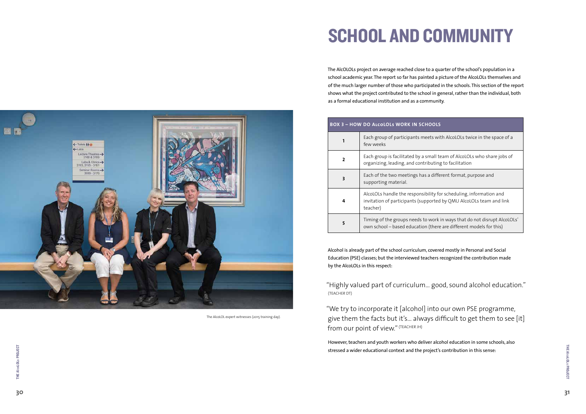## SCHOOL AND COMMUNITY

The AlcOLOLs project on average reached close to a quarter of the school's population in a school academic year. The report so far has painted a picture of the AlcoLOLs themselves and of the much larger number of those who participated in the schools. This section of the report shows what the project contributed to the school in general, rather than the individual, both as a formal educational institution and as a community.

Alcohol is already part of the school curriculum, covered mostly in Personal and Social Education (PSE) classes; but the interviewed teachers recognized the contribution made by the AlcoLOLs in this respect:

"Highly valued part of curriculum… good, sound alcohol education." (TEACHER DT)

"We try to incorporate it [alcohol] into our own PSE programme, give them the facts but it's… always difficult to get them to see [it] from our point of view." (TEACHER JH)

However, teachers and youth workers who deliver alcohol education in some schools, also stressed a wider educational context and the project's contribution in this sense:



| <b>BOX 3 - HOW DO ALCOLOLS WORK IN SCHOOLS</b> |                                                                                               |  |
|------------------------------------------------|-----------------------------------------------------------------------------------------------|--|
| 1                                              | Each group of participants meets with<br>few weeks                                            |  |
| $\mathbf{2}$                                   | Each group is facilitated by a small tea<br>organizing, leading, and contributing             |  |
| 3                                              | Each of the two meetings has a differe<br>supporting material.                                |  |
| 4                                              | AlcoLOLs handle the responsibility for<br>invitation of participants (supported b<br>teacher) |  |
| 5                                              | Timing of the groups needs to work in<br>own school - based education (there a                |  |

**<sup>3</sup>**Each of the two meetings has a different format, purpose and

scheduling, information and by QMU AlcoLOLs team and link

**5** Ways that do not disrupt AlcoLOLs' are different models for this)

The AlcoLOL expert witnesses (2015 training day).

1 AlcoLOLs twice in the space of a

am of AlcoLOLs who share jobs of to facilitation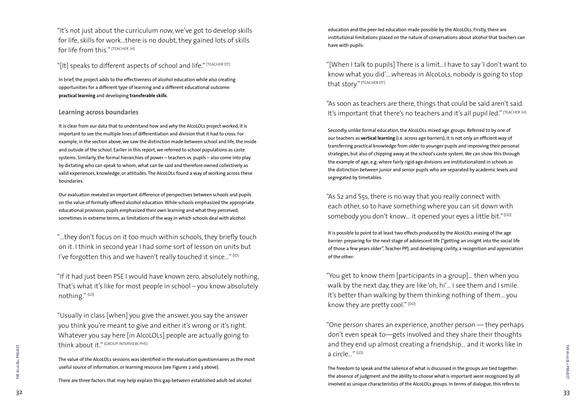education and the peer-led education made possible by the AlcoLOLs. Firstly, there are institutional limitations placed on the nature of conversations about alcohol that teachers can have with pupils:

"As soon as teachers are there, things that could be said aren't said. It's important that there's no teachers and it's all pupil led." (TEACHER JH)

"[When I talk to pupils] There is a limit…I have to say 'I don't want to know what you did'….whereas in AlcoLoLs, nobody is going to stop that story." (TEACHER DT)

"As S2 and S5s, there is no way that you really connect with each other, so to have something where you can sit down with somebody you don't know... it opened your eyes a little bit."<sup>(DD)</sup>

"You get to know them [participants in a group]… then when you walk by the next day, they are like 'oh, hi'… I see them and I smile. It's better than walking by them thinking nothing of them… you know they are pretty cool." $(DD)$ 

Secondly, unlike formal education, the AlcoLOLs mixed age groups. Referred to by one of our teachers as **vertical learning** (i.e. across age barriers), it is not only an efficient way of transferring practical knowledge from older to younger pupils and improving their personal strategies, but also of chipping away at the school's caste system. We can show this through the example of age, e.g. where fairly rigid age divisions are institutionalized in schools as the distinction between junior and senior pupils who are separated by academic levels and segregated by timetables:

It is possible to point to at least two effects produced by the AlcoLOLs erasing of the age barrier: preparing for the next stage of adolescent life ("getting an insight into the social life of those a few years older", Teacher PP), and developing civility, a recognition and appreciation of the other:

"…they don't focus on it too much within schools, they briefly touch on it. I think in second year I had some sort of lesson on units but I've forgotten this and we haven't really touched it since..."  $(1D)$ 

> "One person shares an experience, another person — they perhaps don't even speak to—gets involved and they share their thoughts and they end up almost creating a friendship… and it works like in a circle…" (LD)

The freedom to speak and the salience of what is discussed in the groups are tied together: the absence of judgment and the ability to choose what is important were recognized by all involved as unique characteristics of the AlcoLOLs groups. In terms of dialogue, this refers to

"It's not just about the curriculum now, we've got to develop skills for life, skills for work…there is no doubt, they gained lots of skills for life from this." (TEACHER JH)

"[It] speaks to different aspects of school and life." (TEACHER DT)

In brief, the project adds to the effectiveness of alcohol education while also creating opportunities for a different type of learning and a different educational outcome: **practical learning** and developing **transferable skills**.

#### **Learning across boundaries**

It is clear from our data that to understand how and why the AlcoLOLs project worked, it is important to see the multiple lines of differentiation and division that it had to cross. For example, in the section above, we saw the distinction made between school and life, the inside and outside of the school. Earlier in this report, we referred to school populations as caste systems. Similarly, the formal hierarchies of power – teachers vs. pupils – also come into play by dictating who can speak to whom, what can be said and therefore owned collectively as valid experiences, knowledge, or attitudes. The AlcoLOLs found a way of working across these boundaries.

Our evaluation revealed an important difference of perspectives between schools and pupils on the value of formally offered alcohol education. While schools emphasized the appropriate educational provision, pupils emphasized their own learning and what they perceived, sometimes in extreme terms, as limitations of the way in which schools deal with alcohol:

"If it had just been PSE I would have known zero, absolutely nothing, That's what it's like for most people in school – you know absolutely nothing." (LD)

"Usually in class [when] you give the answer, you say the answer you think you're meant to give and either it's wrong or it's right. Whatever you say here [in AlcoLOLs] people are actually going to think about it." (GROUP INTERVIEW, PHS)

The value of the AlcoLOLs sessions was identified in the evaluation questionnaires as the most useful source of information, or learning resource (see Figures 2 and 3 above).

There are three factors that may help explain this gap between established adult-led alcohol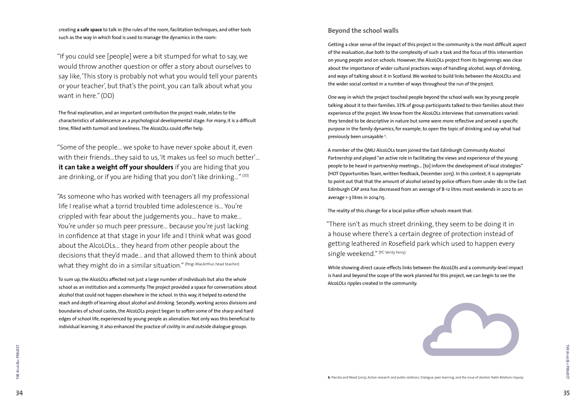#### **Beyond the school walls**

One way in which the project touched people beyond the school walls was by young people talking about it to their families. 33% of group participants talked to their families about their experience of the project. We know from the AlcoLOLs interviews that conversations varied: they tended to be descriptive in nature but some were more reflective and served a specific purpose in the family dynamics, for example, to open the topic of drinking and say what had previously been unsayable <sup>6</sup>.

Getting a clear sense of the impact of this project in the community is the most difficult aspect of the evaluation, due both to the complexity of such a task and the focus of this intervention on young people and on schools. However, the AlcoLOLs project from its beginnings was clear about the importance of wider cultural practices: ways of handling alcohol, ways of drinking, and ways of talking about it in Scotland. We worked to build links between the AlcoLOLs and the wider social context in a number of ways throughout the run of the project.

"There isn't as much street drinking, they seem to be doing it in a house where there's a certain degree of protection instead of getting leathered in Rosefield park which used to happen every single weekend." (PC Verity Ferry)

A member of the QMU AlcoLOLs team joined the East Edinburgh Community Alcohol Partnership and played "an active role in facilitating the views and experience of the young people to be heard in partnership meetings… [to] inform the development of local strategies" (HOT Opportunities Team, written feedback, December 2015). In this context, it is appropriate to point out that that the amount of alcohol seized by police officers from under 18s in the East Edinburgh CAP area has decreased from an average of 8-12 litres most weekends in 2012 to an average 1-3 litres in 2014/15.

"Some of the people… we spoke to have never spoke about it, even with their friends…they said to us, 'It makes us feel so much better'… **it can take a weight off your shoulders** if you are hiding that you are drinking, or if you are hiding that you don't like drinking..."  $(1D)$ 

"As someone who has worked with teenagers all my professional life I realise what a torrid troubled time adolescence is… You're crippled with fear about the judgements you… have to make… You're under so much peer pressure… because you're just lacking in confidence at that stage in your life and I think what was good about the AlcoLOLs… they heard from other people about the decisions that they'd made... and that allowed them to think about what they might do in a similar situation." (Peigi MacArthur, head teacher)

The reality of this change for a local police officer schools meant that:

While showing direct cause-effects links between the AlcoLOls and a community-level impact is hard and beyond the scope of the work planned for this project, we can begin to see the AlcoLOLs ripples created in the community.

creating **a safe space** to talk in (the rules of the room, facilitation techniques, and other tools such as the way in which food is used to manage the dynamics in the room:

"If you could see [people] were a bit stumped for what to say, we would throw another question or offer a story about ourselves to say like, 'This story is probably not what you would tell your parents or your teacher', but that's the point, you can talk about what you want in here." (DD)

The final explanation, and an important contribution the project made, relates to the characteristics of adolescence as a psychological developmental stage. For many, it is a difficult time, filled with turmoil and loneliness. The AlcoLOLs could offer help.

To sum up, the AlcoLOLs affected not just a large number of individuals but also the whole school as an institution and a community. The project provided a space for conversations about alcohol that could not happen elsewhere in the school. In this way, it helped to extend the reach and depth of learning about alcohol and drinking. Secondly, working across divisions and boundaries of school castes, the AlcoLOLs project began to soften some of the sharp and hard edges of school life, experienced by young people as alienation. Not only was this beneficial to individual learning, it also enhanced the practice of civility in and outside dialogue groups.

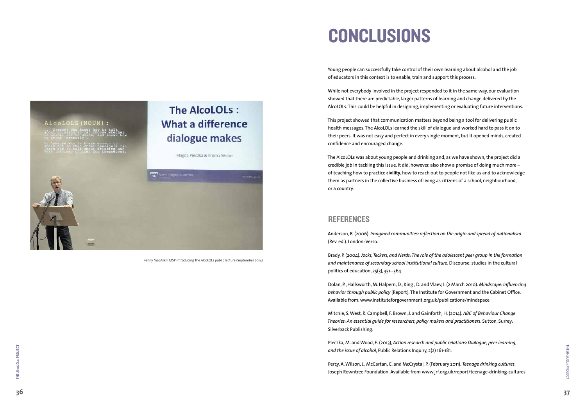## CONCLUSIONS

Young people can successfully take control of their own learning about alcohol and the job of educators in this context is to enable, train and support this process.

While not everybody involved in the project responded to it in the same way, our evaluation showed that there are predictable, larger patterns of learning and change delivered by the AlcoLOLs. This could be helpful in designing, implementing or evaluating future interventions.

This project showed that communication matters beyond being a tool for delivering public health messages. The AlcoLOLs learned the skill of dialogue and worked hard to pass it on to their peers. It was not easy and perfect in every single moment, but it opened minds, created confidence and encouraged change.

The AlcoLOLs was about young people and drinking and, as we have shown, the project did a credible job in tackling this issue. It did, however, also show a promise of doing much more –̶ of teaching how to practice **civility**, how to reach out to people not like us and to acknowledge them as partners in the collective business of living as citizens of a school, neighbourhood, or a country.

#### REFERENCES

Anderson, B. (2006). *Imagined communities: reflection on the origin and spread of nationalism*  (Rev. ed.). London: Verso.

Brady, P. (2004). *Jocks, Teckers, and Nerds: The role of the adolescent peer group in the formation and maintenance of secondary school institutional culture*. Discourse: studies in the cultural politics of education, 25(3), 351--364.

Dolan, P. ,Hallsworth, M. Halpern, D., King , D. and Vlaev, I. (2 March 2010). *Mindscape: Influencing behavior through public policy* [Report]. The Institute for Government and the Cabinet Office. Available from: www.instituteforgovernment.org.uk/publications/mindspace

Mitchie, S. West, R. Campbell, F. Brown, J. and Gainforth, H. (2014). *ABC of Behaviour Change Theories: An essential guide for researchers, policy makers and practitioners*. Sutton, Surrey: Silverback Publishing.

Pieczka, M. and Wood, E. (2013), *Action research and public relations: Dialogue, peer learning, and the issue of alcohol*, Public Relations Inquiry, 2(2) 161-181.

Percy, A. Wilson, J., McCartan, C. and McCrystal, P. (February 2011). *Teenage drinking cultures*. Joseph Rowntree Foundation. Available from www.jrf.org.uk/report/teenage-drinking-cultures



### The AlcoLOLs: **What a difference** dialogue makes



Kenny MacAskill MSP introducing the AlcoLOLs public lecture (September 2014)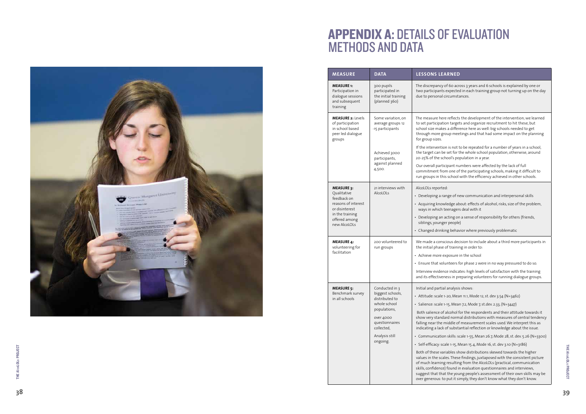### APPENDIX A: DETAILS OF EVALUATION METHODS AND DATA



| <b>MEASURE</b>                                                                                                                               | <b>DATA</b>                                                                                                                                                     | <b>LESSONS LEARNED</b>                                                                                                                                                                                                                                                                                                                                                                                                                                              |
|----------------------------------------------------------------------------------------------------------------------------------------------|-----------------------------------------------------------------------------------------------------------------------------------------------------------------|---------------------------------------------------------------------------------------------------------------------------------------------------------------------------------------------------------------------------------------------------------------------------------------------------------------------------------------------------------------------------------------------------------------------------------------------------------------------|
| <b>MEASURE 1:</b><br>Participation in<br>dialogue sessions<br>and subsequent<br>training                                                     | 300 pupils<br>participated in<br>the initial training<br>(planned 360)                                                                                          | The discrepancy of 60 acr<br>two participants expected<br>due to personal circumsta                                                                                                                                                                                                                                                                                                                                                                                 |
| <b>MEASURE 2: Levels</b><br>of participation<br>in school based<br>peer led dialogue<br>groups                                               | Some variation, on<br>average groups 12<br>-15 participants<br>Achieved 3000<br>participants,<br>against planned<br>4,500.                                      | The measure here reflects<br>to set participation target<br>school size makes a differ<br>through more group mee<br>for group sizes.<br>If the intervention is not t<br>the target can be set for t<br>20-25% of the school's po<br>Our overall participant nu<br>commitment from one of<br>run groups in this school                                                                                                                                               |
| <b>MEASURE 3:</b><br>Qualitative<br>feedback on<br>reasons of interest<br>or disinterest<br>in the training<br>offered among<br>new AlcoLOLs | 21 interviews with<br>AlcoLOLs                                                                                                                                  | AlcoLOLs reported:<br>• Developing a range of no<br>• Acquiring knowledge ab<br>ways in which teenager<br>• Developing an acting or<br>siblings, younger people<br>• Changed drinking behav                                                                                                                                                                                                                                                                         |
| <b>MEASURE 4:</b><br>volunteering for<br>facilitation                                                                                        | 200 volunteered to<br>run groups                                                                                                                                | We made a conscious dec<br>the initial phase of trainir<br>· Achieve more exposure<br>• Ensure that volunteers f<br>Interview evidence indica<br>and its effectiveness in pr                                                                                                                                                                                                                                                                                        |
| <b>MEASURE 5:</b><br>Benchmark survey<br>in all schools                                                                                      | Conducted in 3<br>biggest schools,<br>distributed to<br>whole school<br>populations,<br>over 4000<br>questionnaires<br>collected,<br>Analysis still<br>ongoing. | Initial and partial analysis<br>• Attitude: scale 1-20, Mea<br>· Salience: scale 1-15, Mear<br>Both salience of alcohol f<br>show very standard norm<br>falling near the middle of<br>indicating a lack of substa<br>Communication skills: so<br>Self-efficacy: scale 1-15, N<br>Both of these variables sh<br>values in the scales. These<br>of much learning resultin<br>skills, confidence) found in<br>suggest that that the you<br>over generous: to put it si |

 $\sigma$  of 60 across 3 years and 6 schools is explained by one or s expected in each training group not turning up on the day circumstances.

re reflects the development of the intervention; we learned tion targets and organize recruitment to hit these, but tes a difference here as well: big schools needed to get troup meetings and that had some impact on the planning

on is not to be repeated for a number of years in a school, the set for the whole school population, otherwise, around chool's population in a year.

icipant numbers were affected by the lack of full om one of the participating schools, making it difficult to iis school with the efficiency achieved in other schools.

- ange of new communication and interpersonal skills
- wledge about: effects of alcohol, risks, size of the problem, teenagers deal with it
- acting on a sense of responsibility for others (friends, ger people)
- ing behavior where previously problematic

scious decision to include about a third more participants in the of training in order to:

- exposure in the school
- lunteers for phase 2 were in no way pressured to do so.
- nce indicates: high levels of satisfaction with the training ness in preparing volunteers for running dialogue groups.

al analysis shows:

- 1-20, Mean 11.1, Mode 12, st. dev 3.54 (N=3462)
- 1-15, Mean 7.2, Mode 7, st.dev. 2.33, (N=3447)

f alcohol for the respondents and their attitude towards it  $t$ ard normal distributions with measures of central tendency middle of measurement scales used. We interpret this as k of substantial reflection or knowledge about the issue.

 $\sigma$ n skills: scale 1-55, Mean 26.7, Mode 28, st. dev. 5.26 (N=3300)

• Self-efficacy: scale 1-15, Mean 15.4, Mode 16, st. dev 3.10 (N=3186)

ariables show distributions skewed towards the higher ales. These findings, juxtaposed with the consistent picture of resulting from the AlcoLOLs (practical, communication e) found in evaluation questionnaires and interviews, at the young people's assessment of their own skills may be to put it simply, they don't know what they don't know.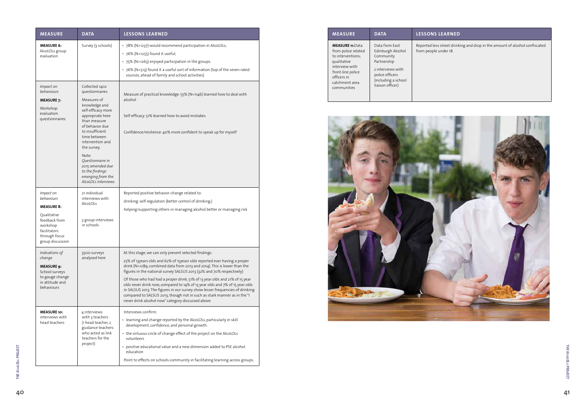#### **MEASURE DATA LESSONS LEARNED**

| <b>MEASURE</b>                                                                                                                                                            | <b>DATA</b>                                                                                                                                        | <b>LESSONS LEARN</b>                            |
|---------------------------------------------------------------------------------------------------------------------------------------------------------------------------|----------------------------------------------------------------------------------------------------------------------------------------------------|-------------------------------------------------|
| <b>MEASURE 11: Data</b><br>from police related<br>to interventions;<br>qualitative<br>interview with<br>front-line police<br>officers in<br>catchment area<br>communities | Data from East<br>Edinburgh Alcohol<br>Community<br>Partnership<br>2 interviews with<br>police officers<br>(including a school<br>liaison officer) | Reported less street d<br>from people under 18. |



Reported less street drinking and drop in the amount of alcohol confiscated

| <b>MEASURE</b>                                                                                                                                | <b>DATA</b>                                                                                                                                                                                                                                                                                                                          | <b>LESSONS LEARNED</b>                                                                                                                                                                                                                                                                                                                                                                                                                                                                                                                                                                                                                                                    |
|-----------------------------------------------------------------------------------------------------------------------------------------------|--------------------------------------------------------------------------------------------------------------------------------------------------------------------------------------------------------------------------------------------------------------------------------------------------------------------------------------|---------------------------------------------------------------------------------------------------------------------------------------------------------------------------------------------------------------------------------------------------------------------------------------------------------------------------------------------------------------------------------------------------------------------------------------------------------------------------------------------------------------------------------------------------------------------------------------------------------------------------------------------------------------------------|
| <b>MEASURE 6:</b><br>AlcoLOLs group<br>evaluation                                                                                             | Survey (3 schools)                                                                                                                                                                                                                                                                                                                   | • 78% (N=1237) would recommend participation in AlcoLOLs;<br>• 76% (N=1255) found it useful;<br>• 75% (N=1263) enjoyed participation in the groups.<br>• 76% (N=513) found it a useful sort of information (top of the seven rated<br>sources, ahead of family and school activities)                                                                                                                                                                                                                                                                                                                                                                                     |
| Impact on<br>behaviours<br><b>MEASURE 7:</b><br>Workshop<br>evaluation<br>questionnaires                                                      | Collected 1402<br>questionnaires<br>Measures of<br>knowledge and<br>self-efficacy more<br>appropriate here<br>than measure<br>of behavior due<br>to insufficient<br>time between<br>intervention and<br>the survey.<br>Note:<br>Questionnaire in<br>2015 amended due<br>to the findings<br>emerging from the<br>AlcoLOLs interviews. | Measure of practical knowledge: 55% (N=1146) learned how to deal with<br>alcohol<br>Self-efficacy: 51% learned how to avoid mistakes<br>Confidence/resilience: 40% more confident to speak up for myself                                                                                                                                                                                                                                                                                                                                                                                                                                                                  |
| Impact on<br>behaviours<br><b>MEASURE 8:</b><br>Qualitative<br>feedback from<br>workshop<br>facilitators<br>through focus<br>group discussion | 21 individual<br>interviews with<br>AlcoLOLs<br>3 group interviews<br>in schools                                                                                                                                                                                                                                                     | Reported positive behavior change related to:<br>drinking: self-regulation (better control of drinking;)<br>helping/supporting others in managing alcohol better or managing risk                                                                                                                                                                                                                                                                                                                                                                                                                                                                                         |
| Indications of<br>change<br><b>MEASURE 9:</b><br>School surveys<br>to gauge change<br>in attitude and<br>behaviours                           | 3500 surveys<br>analysed here                                                                                                                                                                                                                                                                                                        | At this stage, we can only present selected findings:<br>25% of 13years olds and 62% of 15yeasr olds reported ever having a proper<br>drink (N=1289, combined data from 2013 and 2014). This is lower than the<br>figures in the national survey SALSUS 2013 (32% and 70% respectively)<br>Of those who had had a proper drink, 51% of 13 year olds and 21% of 15 year<br>olds never drink now, compared to 14% of 13 year olds and 7% of 15 year olds<br>in SALSUS 2013. The figures in our survey show lesser frequencies of drinking<br>compared to SALSUS 2013, though not in such as stark manner as in the "I<br>never drink alcohol now" category discussed above. |
| <b>MEASURE 10:</b><br>interviews with<br>head teachers                                                                                        | 4 interviews<br>with 3 teachers<br>(1 head teacher, 2<br>guidance teachers<br>who acted as link<br>teachers for the<br>project)                                                                                                                                                                                                      | Interviews confirm:<br>• learning and change reported by the AlcoLOLs, particularly in skill<br>development, confidence, and personal growth.<br>• the virtuous circle of change effect of the project on the AlcoLOLs<br>volunteers<br>• positive educational value and a new dimension added to PSE alcohol<br>education<br>Point to effects on schools community in facilitating learning across groups.                                                                                                                                                                                                                                                               |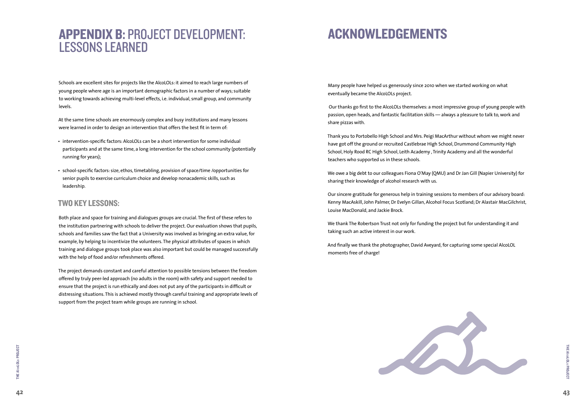

### ACKNOWLEDGEMENTS

Many people have helped us generously since 2010 when we started working on what eventually became the AlcoLOLs project.

 Our thanks go first to the AlcoLOLs themselves: a most impressive group of young people with passion, open heads, and fantastic facilitation skills — always a pleasure to talk to, work and share pizzas with.

Thank you to Portobello High School and Mrs. Peigi MacArthur without whom we might never have got off the ground or recruited Castlebrae High School, Drummond Community High School, Holy Rood RC High School, Leith Academy , Trinity Academy and all the wonderful teachers who supported us in these schools.

We owe a big debt to our colleagues Fiona O'May (QMU) and Dr Jan Gill (Napier University) for sharing their knowledge of alcohol research with us.

Our sincere gratitude for generous help in training sessions to members of our advisory board: Kenny MacAskill, John Palmer, Dr Evelyn Gillan, Alcohol Focus Scotland; Dr Alastair MacGilchrist, Louise MacDonald, and Jackie Brock.

We thank The Robertson Trust not only for funding the project but for understanding it and taking such an active interest in our work.

And finally we thank the photographer, David Aveyard, for capturing some special AlcoLOL moments free of charge!



### APPENDIX B: PROJECT DEVELOPMENT: LESSONS LEARNED

Schools are excellent sites for projects like the AlcoLOLs: it aimed to reach large numbers of young people where age is an important demographic factors in a number of ways; suitable to working towards achieving multi-level effects, i.e. individual, small group, and community levels.

At the same time schools are enormously complex and busy institutions and many lessons were learned in order to design an intervention that offers the best fit in term of:

- intervention-specific factors: AlcoLOLs can be a short intervention for some individual participants and at the same time, a long intervention for the school community (potentially running for years);
- school-specific factors: size, ethos, timetabling, provision of space/time /opportunities for senior pupils to exercise curriculum choice and develop nonacademic skills, such as leadership.

#### TWO KEY LESSONS:

Both place and space for training and dialogues groups are crucial. The first of these refers to the institution partnering with schools to deliver the project. Our evaluation shows that pupils, schools and families saw the fact that a University was involved as bringing an extra value, for example, by helping to incentivize the volunteers. The physical attributes of spaces in which training and dialogue groups took place was also important but could be managed successfully with the help of food and/or refreshments offered.

The project demands constant and careful attention to possible tensions between the freedom offered by truly peer-led approach (no adults in the room) with safety and support needed to ensure that the project is run ethically and does not put any of the participants in difficult or distressing situations. This is achieved mostly through careful training and appropriate levels of support from the project team while groups are running in school.